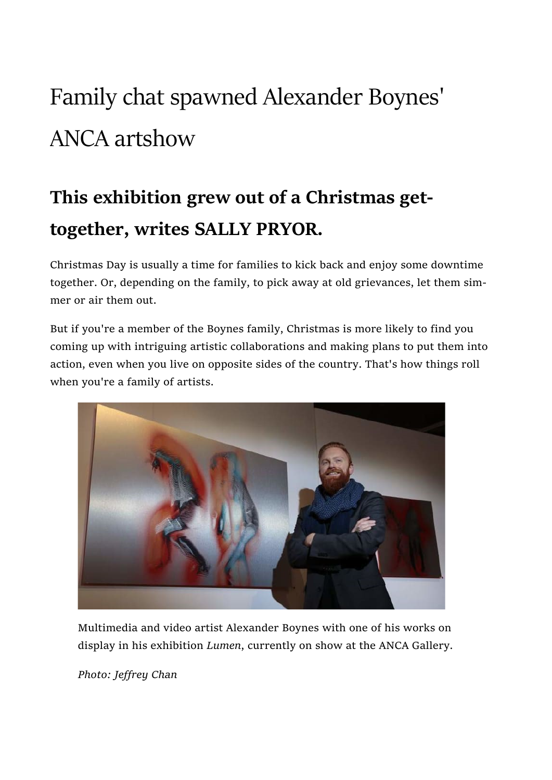## Family chat spawned Alexander Boynes' ANCA artshow

## This exhibition grew out of a Christmas gettogether, writes SALLY PRYOR.

Christmas Day is usually a time for families to kick back and enjoy some downtime together. Or, depending on the family, to pick away at old grievances, let them simmer or air them out.

But if you're a member of the Boynes family, Christmas is more likely to find you coming up with intriguing artistic collaborations and making plans to put them into action, even when you live on opposite sides of the country. That's how things roll when you're a family of artists.



Multimedia and video artist Alexander Boynes with one of his works on display in his exhibition Lumen, currently on show at the ANCA Gallery.

Photo: Jeffrey Chan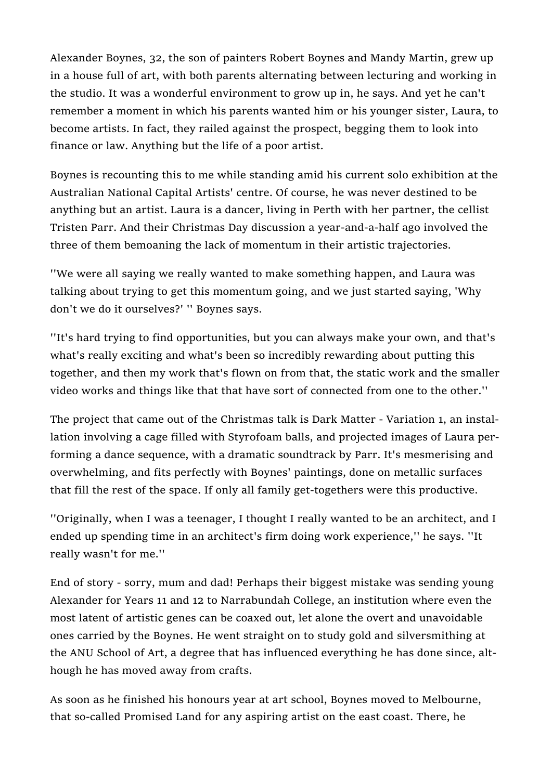Alexander Boynes, 32, the son of painters Robert Boynes and Mandy Martin, grew up in a house full of art, with both parents alternating between lecturing and working in the studio. It was a wonderful environment to grow up in, he says. And yet he can't remember a moment in which his parents wanted him or his younger sister, Laura, to become artists. In fact, they railed against the prospect, begging them to look into finance or law. Anything but the life of a poor artist.

Boynes is recounting this to me while standing amid his current solo exhibition at the Australian National Capital Artists' centre. Of course, he was never destined to be anything but an artist. Laura is a dancer, living in Perth with her partner, the cellist Tristen Parr. And their Christmas Day discussion a year-and-a-half ago involved the three of them bemoaning the lack of momentum in their artistic trajectories.

''We were all saying we really wanted to make something happen, and Laura was talking about trying to get this momentum going, and we just started saying, 'Why don't we do it ourselves?' '' Boynes says.

''It's hard trying to find opportunities, but you can always make your own, and that's what's really exciting and what's been so incredibly rewarding about putting this together, and then my work that's flown on from that, the static work and the smaller video works and things like that that have sort of connected from one to the other.''

The project that came out of the Christmas talk is Dark Matter - Variation 1, an installation involving a cage filled with Styrofoam balls, and projected images of Laura performing a dance sequence, with a dramatic soundtrack by Parr. It's mesmerising and overwhelming, and fits perfectly with Boynes' paintings, done on metallic surfaces that fill the rest of the space. If only all family get-togethers were this productive.

''Originally, when I was a teenager, I thought I really wanted to be an architect, and I ended up spending time in an architect's firm doing work experience,'' he says. ''It really wasn't for me.''

End of story - sorry, mum and dad! Perhaps their biggest mistake was sending young Alexander for Years 11 and 12 to Narrabundah College, an institution where even the most latent of artistic genes can be coaxed out, let alone the overt and unavoidable ones carried by the Boynes. He went straight on to study gold and silversmithing at the ANU School of Art, a degree that has influenced everything he has done since, although he has moved away from crafts.

As soon as he finished his honours year at art school, Boynes moved to Melbourne, that so-called Promised Land for any aspiring artist on the east coast. There, he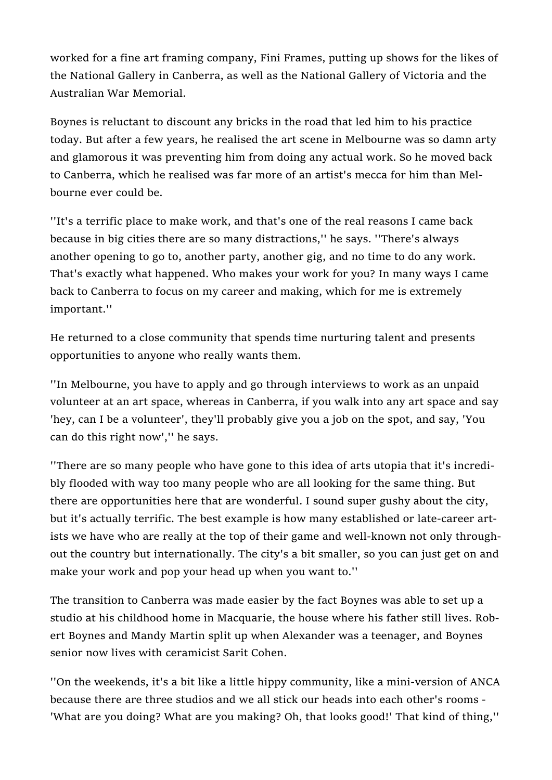worked for a fine art framing company, Fini Frames, putting up shows for the likes of the National Gallery in Canberra, as well as the National Gallery of Victoria and the Australian War Memorial.

Boynes is reluctant to discount any bricks in the road that led him to his practice today. But after a few years, he realised the art scene in Melbourne was so damn arty and glamorous it was preventing him from doing any actual work. So he moved back to Canberra, which he realised was far more of an artist's mecca for him than Melbourne ever could be.

''It's a terrific place to make work, and that's one of the real reasons I came back because in big cities there are so many distractions,'' he says. ''There's always another opening to go to, another party, another gig, and no time to do any work. That's exactly what happened. Who makes your work for you? In many ways I came back to Canberra to focus on my career and making, which for me is extremely important.''

He returned to a close community that spends time nurturing talent and presents opportunities to anyone who really wants them.

''In Melbourne, you have to apply and go through interviews to work as an unpaid volunteer at an art space, whereas in Canberra, if you walk into any art space and say 'hey, can I be a volunteer', they'll probably give you a job on the spot, and say, 'You can do this right now','' he says.

''There are so many people who have gone to this idea of arts utopia that it's incredibly flooded with way too many people who are all looking for the same thing. But there are opportunities here that are wonderful. I sound super gushy about the city, but it's actually terrific. The best example is how many established or late-career artists we have who are really at the top of their game and well-known not only throughout the country but internationally. The city's a bit smaller, so you can just get on and make your work and pop your head up when you want to.''

The transition to Canberra was made easier by the fact Boynes was able to set up a studio at his childhood home in Macquarie, the house where his father still lives. Robert Boynes and Mandy Martin split up when Alexander was a teenager, and Boynes senior now lives with ceramicist Sarit Cohen.

''On the weekends, it's a bit like a little hippy community, like a mini-version of ANCA because there are three studios and we all stick our heads into each other's rooms - 'What are you doing? What are you making? Oh, that looks good!' That kind of thing,''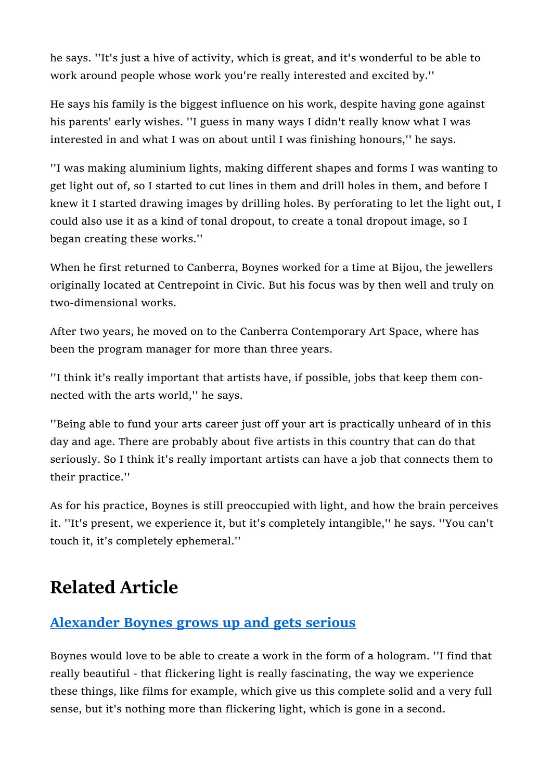he says. ''It's just a hive of activity, which is great, and it's wonderful to be able to work around people whose work you're really interested and excited by.''

He says his family is the biggest influence on his work, despite having gone against his parents' early wishes. ''I guess in many ways I didn't really know what I was interested in and what I was on about until I was finishing honours,'' he says.

''I was making aluminium lights, making different shapes and forms I was wanting to get light out of, so I started to cut lines in them and drill holes in them, and before I knew it I started drawing images by drilling holes. By perforating to let the light out, I could also use it as a kind of tonal dropout, to create a tonal dropout image, so I began creating these works.''

When he first returned to Canberra, Boynes worked for a time at Bijou, the jewellers originally located at Centrepoint in Civic. But his focus was by then well and truly on two-dimensional works.

After two years, he moved on to the Canberra Contemporary Art Space, where has been the program manager for more than three years.

''I think it's really important that artists have, if possible, jobs that keep them connected with the arts world,'' he says.

''Being able to fund your arts career just off your art is practically unheard of in this day and age. There are probably about five artists in this country that can do that seriously. So I think it's really important artists can have a job that connects them to their practice.''

As for his practice, Boynes is still preoccupied with light, and how the brain perceives it. ''It's present, we experience it, but it's completely intangible,'' he says. ''You can't touch it, it's completely ephemeral.''

## Related Article

## Alexander Boynes grows up and gets serious

Boynes would love to be able to create a work in the form of a hologram. ''I find that really beautiful - that flickering light is really fascinating, the way we experience these things, like films for example, which give us this complete solid and a very full sense, but it's nothing more than flickering light, which is gone in a second.